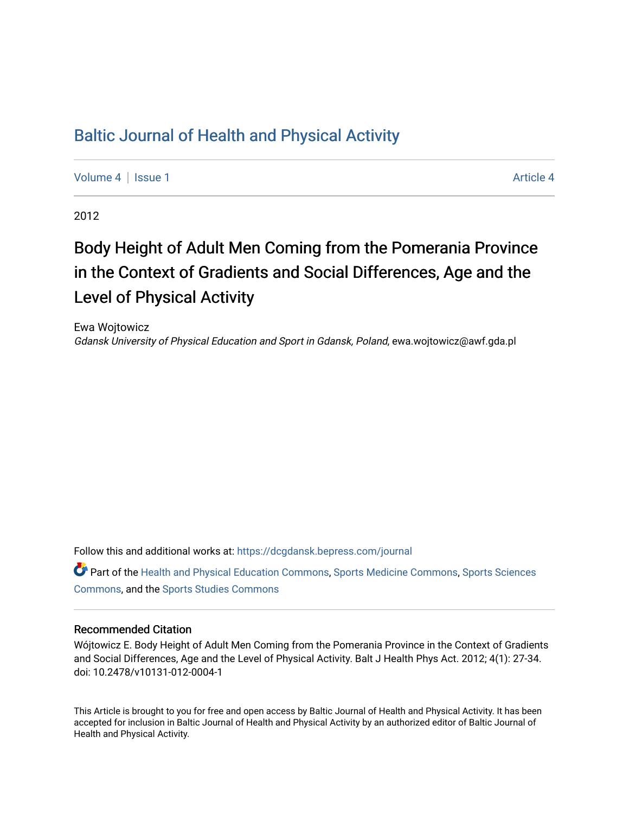### [Baltic Journal of Health and Physical Activity](https://dcgdansk.bepress.com/journal)

[Volume 4](https://dcgdansk.bepress.com/journal/vol4) | [Issue 1](https://dcgdansk.bepress.com/journal/vol4/iss1) [Article 4](https://dcgdansk.bepress.com/journal/vol4/iss1/4) | Article 4 Article 4 | Article 4 Article 4 | Article 4 | Article 4 | Article 4 |

2012

# Body Height of Adult Men Coming from the Pomerania Province in the Context of Gradients and Social Differences, Age and the Level of Physical Activity

Ewa Wojtowicz Gdansk University of Physical Education and Sport in Gdansk, Poland, ewa.wojtowicz@awf.gda.pl

Follow this and additional works at: [https://dcgdansk.bepress.com/journal](https://dcgdansk.bepress.com/journal?utm_source=dcgdansk.bepress.com%2Fjournal%2Fvol4%2Fiss1%2F4&utm_medium=PDF&utm_campaign=PDFCoverPages)

Part of the [Health and Physical Education Commons](http://network.bepress.com/hgg/discipline/1327?utm_source=dcgdansk.bepress.com%2Fjournal%2Fvol4%2Fiss1%2F4&utm_medium=PDF&utm_campaign=PDFCoverPages), [Sports Medicine Commons,](http://network.bepress.com/hgg/discipline/1331?utm_source=dcgdansk.bepress.com%2Fjournal%2Fvol4%2Fiss1%2F4&utm_medium=PDF&utm_campaign=PDFCoverPages) [Sports Sciences](http://network.bepress.com/hgg/discipline/759?utm_source=dcgdansk.bepress.com%2Fjournal%2Fvol4%2Fiss1%2F4&utm_medium=PDF&utm_campaign=PDFCoverPages) [Commons](http://network.bepress.com/hgg/discipline/759?utm_source=dcgdansk.bepress.com%2Fjournal%2Fvol4%2Fiss1%2F4&utm_medium=PDF&utm_campaign=PDFCoverPages), and the [Sports Studies Commons](http://network.bepress.com/hgg/discipline/1198?utm_source=dcgdansk.bepress.com%2Fjournal%2Fvol4%2Fiss1%2F4&utm_medium=PDF&utm_campaign=PDFCoverPages) 

#### Recommended Citation

Wójtowicz E. Body Height of Adult Men Coming from the Pomerania Province in the Context of Gradients and Social Differences, Age and the Level of Physical Activity. Balt J Health Phys Act. 2012; 4(1): 27-34. doi: 10.2478/v10131-012-0004-1

This Article is brought to you for free and open access by Baltic Journal of Health and Physical Activity. It has been accepted for inclusion in Baltic Journal of Health and Physical Activity by an authorized editor of Baltic Journal of Health and Physical Activity.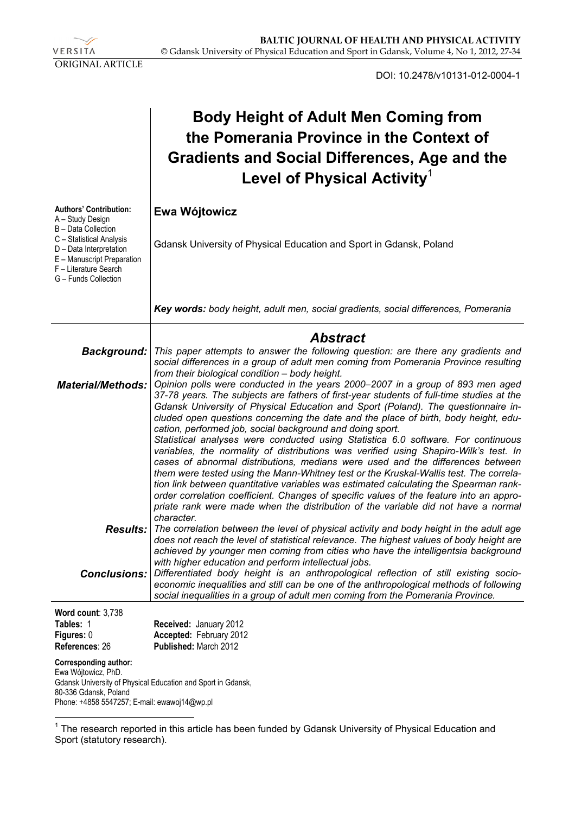

 $\overline{a}$ 

DOI: 10.2478/v10131-012-0004-1

## **Body Height of Adult Men Coming from the Pomerania Province in the Context of Gradients and Social Differences, Age and the Level of Physical Activity**<sup>1</sup>

| <b>Authors' Contribution:</b><br>A – Study Design                                                                                                         | Ewa Wójtowicz                                                                                                                                                                                                                                                                                                                                                                                                                                                                                                                                                                                                                                                                                                                                                                                                                                                                                                                                                                                                                                                      |  |  |  |  |  |  |  |
|-----------------------------------------------------------------------------------------------------------------------------------------------------------|--------------------------------------------------------------------------------------------------------------------------------------------------------------------------------------------------------------------------------------------------------------------------------------------------------------------------------------------------------------------------------------------------------------------------------------------------------------------------------------------------------------------------------------------------------------------------------------------------------------------------------------------------------------------------------------------------------------------------------------------------------------------------------------------------------------------------------------------------------------------------------------------------------------------------------------------------------------------------------------------------------------------------------------------------------------------|--|--|--|--|--|--|--|
| B - Data Collection<br>C - Statistical Analysis<br>D - Data Interpretation<br>E - Manuscript Preparation<br>F - Literature Search<br>G - Funds Collection | Gdansk University of Physical Education and Sport in Gdansk, Poland                                                                                                                                                                                                                                                                                                                                                                                                                                                                                                                                                                                                                                                                                                                                                                                                                                                                                                                                                                                                |  |  |  |  |  |  |  |
|                                                                                                                                                           | Key words: body height, adult men, social gradients, social differences, Pomerania                                                                                                                                                                                                                                                                                                                                                                                                                                                                                                                                                                                                                                                                                                                                                                                                                                                                                                                                                                                 |  |  |  |  |  |  |  |
|                                                                                                                                                           | <b>Abstract</b>                                                                                                                                                                                                                                                                                                                                                                                                                                                                                                                                                                                                                                                                                                                                                                                                                                                                                                                                                                                                                                                    |  |  |  |  |  |  |  |
| <b>Background:</b>                                                                                                                                        | This paper attempts to answer the following question: are there any gradients and<br>social differences in a group of adult men coming from Pomerania Province resulting<br>from their biological condition - body height.                                                                                                                                                                                                                                                                                                                                                                                                                                                                                                                                                                                                                                                                                                                                                                                                                                         |  |  |  |  |  |  |  |
| <b>Material/Methods:</b>                                                                                                                                  | Opinion polls were conducted in the years 2000–2007 in a group of 893 men aged<br>37-78 years. The subjects are fathers of first-year students of full-time studies at the<br>Gdansk University of Physical Education and Sport (Poland). The questionnaire in-<br>cluded open questions concerning the date and the place of birth, body height, edu-<br>cation, performed job, social background and doing sport.<br>Statistical analyses were conducted using Statistica 6.0 software. For continuous<br>variables, the normality of distributions was verified using Shapiro-Wilk's test. In<br>cases of abnormal distributions, medians were used and the differences between<br>them were tested using the Mann-Whitney test or the Kruskal-Wallis test. The correla-<br>tion link between quantitative variables was estimated calculating the Spearman rank-<br>order correlation coefficient. Changes of specific values of the feature into an appro-<br>priate rank were made when the distribution of the variable did not have a normal<br>character. |  |  |  |  |  |  |  |
|                                                                                                                                                           | <b>Results:</b> The correlation between the level of physical activity and body height in the adult age<br>does not reach the level of statistical relevance. The highest values of body height are<br>achieved by younger men coming from cities who have the intelligentsia background<br>with higher education and perform intellectual jobs.                                                                                                                                                                                                                                                                                                                                                                                                                                                                                                                                                                                                                                                                                                                   |  |  |  |  |  |  |  |
| <b>Conclusions:</b>                                                                                                                                       | Differentiated body height is an anthropological reflection of still existing socio-<br>economic inequalities and still can be one of the anthropological methods of following<br>social inequalities in a group of adult men coming from the Pomerania Province.                                                                                                                                                                                                                                                                                                                                                                                                                                                                                                                                                                                                                                                                                                                                                                                                  |  |  |  |  |  |  |  |
| Word count: 3,738                                                                                                                                         |                                                                                                                                                                                                                                                                                                                                                                                                                                                                                                                                                                                                                                                                                                                                                                                                                                                                                                                                                                                                                                                                    |  |  |  |  |  |  |  |
| Tables: 1<br>Figures: 0                                                                                                                                   | Received: January 2012<br>Accepted: February 2012                                                                                                                                                                                                                                                                                                                                                                                                                                                                                                                                                                                                                                                                                                                                                                                                                                                                                                                                                                                                                  |  |  |  |  |  |  |  |
| References: 26                                                                                                                                            | Published: March 2012                                                                                                                                                                                                                                                                                                                                                                                                                                                                                                                                                                                                                                                                                                                                                                                                                                                                                                                                                                                                                                              |  |  |  |  |  |  |  |
| Corresponding author:<br>Ewa Wójtowicz, PhD.<br>80-336 Gdansk, Poland<br>Phone: +4858 5547257; E-mail: ewawoj14@wp.pl                                     | Gdansk University of Physical Education and Sport in Gdansk,                                                                                                                                                                                                                                                                                                                                                                                                                                                                                                                                                                                                                                                                                                                                                                                                                                                                                                                                                                                                       |  |  |  |  |  |  |  |

 $1$  The research reported in this article has been funded by Gdansk University of Physical Education and Sport (statutory research).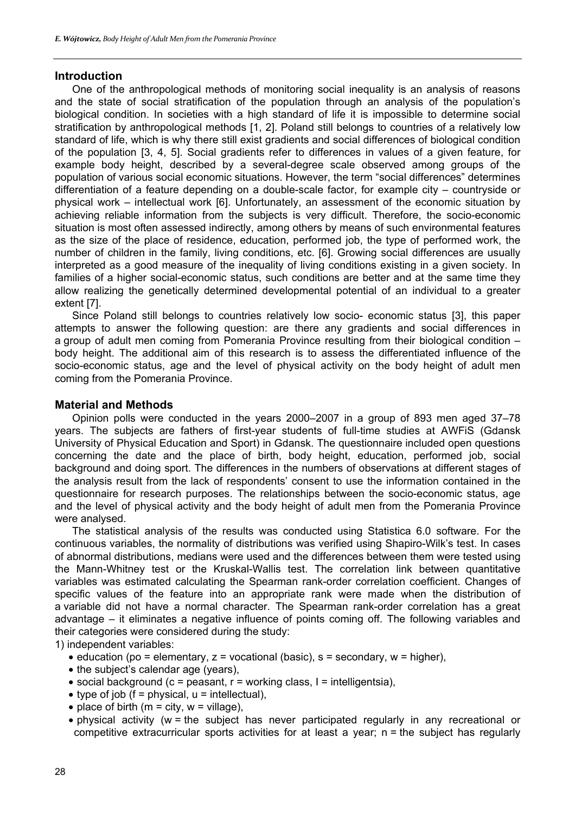#### **Introduction**

One of the anthropological methods of monitoring social inequality is an analysis of reasons and the state of social stratification of the population through an analysis of the population's biological condition. In societies with a high standard of life it is impossible to determine social stratification by anthropological methods [1, 2]. Poland still belongs to countries of a relatively low standard of life, which is why there still exist gradients and social differences of biological condition of the population [3, 4, 5]. Social gradients refer to differences in values of a given feature, for example body height, described by a several-degree scale observed among groups of the population of various social economic situations. However, the term "social differences" determines differentiation of a feature depending on a double-scale factor, for example city – countryside or physical work – intellectual work [6]. Unfortunately, an assessment of the economic situation by achieving reliable information from the subjects is very difficult. Therefore, the socio-economic situation is most often assessed indirectly, among others by means of such environmental features as the size of the place of residence, education, performed job, the type of performed work, the number of children in the family, living conditions, etc. [6]. Growing social differences are usually interpreted as a good measure of the inequality of living conditions existing in a given society. In families of a higher social-economic status, such conditions are better and at the same time they allow realizing the genetically determined developmental potential of an individual to a greater extent [7].

Since Poland still belongs to countries relatively low socio- economic status [3], this paper attempts to answer the following question: are there any gradients and social differences in a group of adult men coming from Pomerania Province resulting from their biological condition – body height. The additional aim of this research is to assess the differentiated influence of the socio-economic status, age and the level of physical activity on the body height of adult men coming from the Pomerania Province.

#### **Material and Methods**

Opinion polls were conducted in the years 2000–2007 in a group of 893 men aged 37–78 years. The subjects are fathers of first-year students of full-time studies at AWFiS (Gdansk University of Physical Education and Sport) in Gdansk. The questionnaire included open questions concerning the date and the place of birth, body height, education, performed job, social background and doing sport. The differences in the numbers of observations at different stages of the analysis result from the lack of respondents' consent to use the information contained in the questionnaire for research purposes. The relationships between the socio-economic status, age and the level of physical activity and the body height of adult men from the Pomerania Province were analysed.

The statistical analysis of the results was conducted using Statistica 6.0 software. For the continuous variables, the normality of distributions was verified using Shapiro-Wilk's test. In cases of abnormal distributions, medians were used and the differences between them were tested using the Mann-Whitney test or the Kruskal-Wallis test. The correlation link between quantitative variables was estimated calculating the Spearman rank-order correlation coefficient. Changes of specific values of the feature into an appropriate rank were made when the distribution of a variable did not have a normal character. The Spearman rank-order correlation has a great advantage – it eliminates a negative influence of points coming off. The following variables and their categories were considered during the study:

1) independent variables:

- education (po = elementary,  $z =$  vocational (basic),  $s =$  secondary,  $w =$  higher),
- the subject's calendar age (years),
- social background ( $c =$  peasant,  $r =$  working class,  $l =$  intelligentsia),
- type of job ( $f =$  physical,  $u =$  intellectual),
- place of birth ( $m = \text{city}, w = \text{village}$ ),
- physical activity (w = the subject has never participated regularly in any recreational or competitive extracurricular sports activities for at least a year; n = the subject has regularly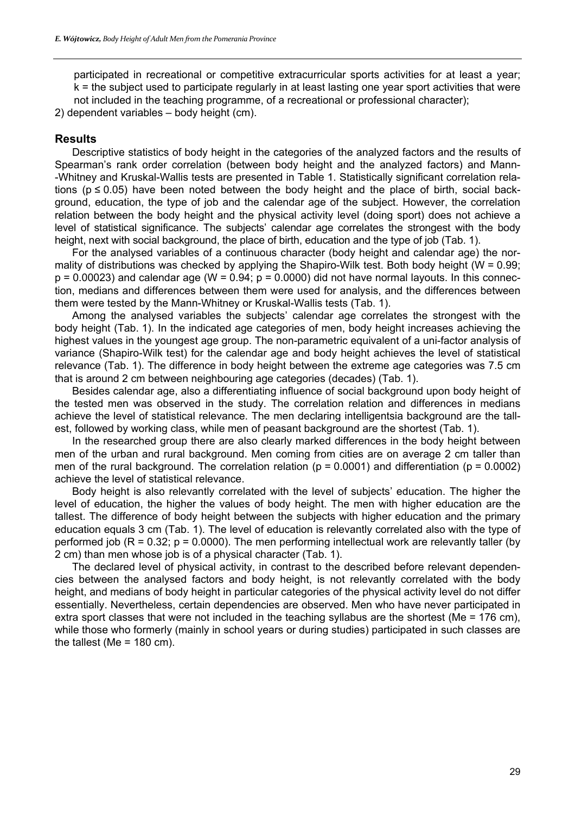participated in recreational or competitive extracurricular sports activities for at least a year; k = the subject used to participate regularly in at least lasting one year sport activities that were not included in the teaching programme, of a recreational or professional character);

2) dependent variables – body height (cm).

#### **Results**

Descriptive statistics of body height in the categories of the analyzed factors and the results of Spearman's rank order correlation (between body height and the analyzed factors) and Mann- -Whitney and Kruskal-Wallis tests are presented in Table 1. Statistically significant correlation relations ( $p \le 0.05$ ) have been noted between the body height and the place of birth, social background, education, the type of job and the calendar age of the subject. However, the correlation relation between the body height and the physical activity level (doing sport) does not achieve a level of statistical significance. The subjects' calendar age correlates the strongest with the body height, next with social background, the place of birth, education and the type of job (Tab. 1).

For the analysed variables of a continuous character (body height and calendar age) the normality of distributions was checked by applying the Shapiro-Wilk test. Both body height (W =  $0.99$ ;  $p = 0.00023$ ) and calendar age (W = 0.94;  $p = 0.0000$ ) did not have normal layouts. In this connection, medians and differences between them were used for analysis, and the differences between them were tested by the Mann-Whitney or Kruskal-Wallis tests (Tab. 1).

Among the analysed variables the subjects' calendar age correlates the strongest with the body height (Tab. 1). In the indicated age categories of men, body height increases achieving the highest values in the youngest age group. The non-parametric equivalent of a uni-factor analysis of variance (Shapiro-Wilk test) for the calendar age and body height achieves the level of statistical relevance (Tab. 1). The difference in body height between the extreme age categories was 7.5 cm that is around 2 cm between neighbouring age categories (decades) (Tab. 1).

Besides calendar age, also a differentiating influence of social background upon body height of the tested men was observed in the study. The correlation relation and differences in medians achieve the level of statistical relevance. The men declaring intelligentsia background are the tallest, followed by working class, while men of peasant background are the shortest (Tab. 1).

In the researched group there are also clearly marked differences in the body height between men of the urban and rural background. Men coming from cities are on average 2 cm taller than men of the rural background. The correlation relation ( $p = 0.0001$ ) and differentiation ( $p = 0.0002$ ) achieve the level of statistical relevance.

Body height is also relevantly correlated with the level of subjects' education. The higher the level of education, the higher the values of body height. The men with higher education are the tallest. The difference of body height between the subjects with higher education and the primary education equals 3 cm (Tab. 1). The level of education is relevantly correlated also with the type of performed job ( $R = 0.32$ ;  $p = 0.0000$ ). The men performing intellectual work are relevantly taller (by 2 cm) than men whose job is of a physical character (Tab. 1).

The declared level of physical activity, in contrast to the described before relevant dependencies between the analysed factors and body height, is not relevantly correlated with the body height, and medians of body height in particular categories of the physical activity level do not differ essentially. Nevertheless, certain dependencies are observed. Men who have never participated in extra sport classes that were not included in the teaching syllabus are the shortest (Me = 176 cm), while those who formerly (mainly in school years or during studies) participated in such classes are the tallest (Me =  $180 \text{ cm}$ ).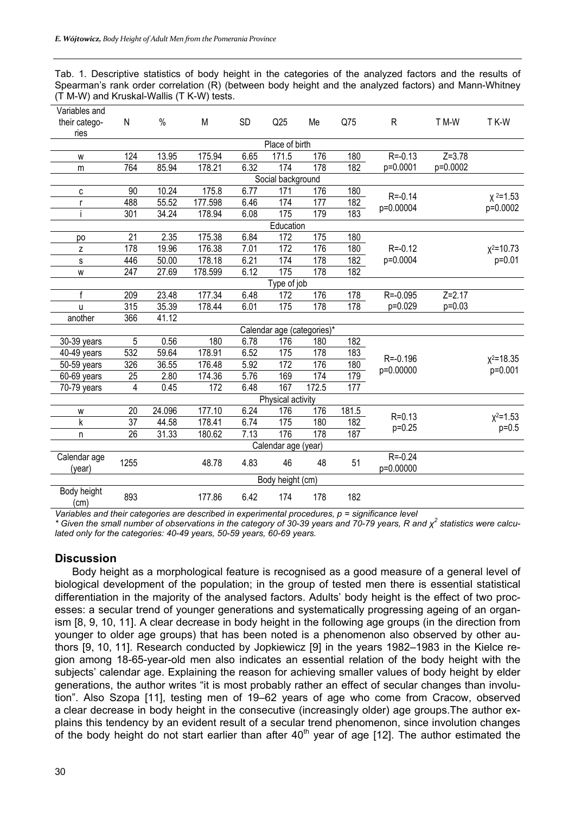Tab. 1. Descriptive statistics of body height in the categories of the analyzed factors and the results of Spearman's rank order correlation (R) (between body height and the analyzed factors) and Mann-Whitney (T M-W) and Kruskal-Wallis (T K-W) tests.

| Variables and       |                 |        |         |           |                     |                            |       |                           |            |                          |
|---------------------|-----------------|--------|---------|-----------|---------------------|----------------------------|-------|---------------------------|------------|--------------------------|
| their catego-       | N               | $\%$   | M       | <b>SD</b> | Q25                 | Me                         | Q75   | $\mathsf{R}$              | T M-W      | T K-W                    |
| ries                |                 |        |         |           |                     |                            |       |                           |            |                          |
|                     |                 |        |         |           | Place of birth      |                            |       |                           |            |                          |
| W                   | 124             | 13.95  | 175.94  | 6.65      | 171.5               | 176                        | 180   | $R = -0.13$               | $Z = 3.78$ |                          |
| m                   | 764             | 85.94  | 178.21  | 6.32      | 174                 | 178                        | 182   | p=0.0001                  | p=0.0002   |                          |
|                     |                 |        |         |           | Social background   |                            |       |                           |            |                          |
| С                   | 90              | 10.24  | 175.8   | 6.77      | 171                 | 176                        | 180   | $R = -0.14$               |            |                          |
| r                   | 488             | 55.52  | 177.598 | 6.46      | 174                 | 177                        | 182   | p=0.00004                 |            | $x^2 = 1.53$<br>p=0.0002 |
|                     | 301             | 34.24  | 178.94  | 6.08      | 175                 | 179                        | 183   |                           |            |                          |
|                     |                 |        |         |           | Education           |                            |       |                           |            |                          |
| po                  | 21              | 2.35   | 175.38  | 6.84      | 172                 | 175                        | 180   |                           |            |                          |
| z                   | 178             | 19.96  | 176.38  | 7.01      | 172                 | 176                        | 180   | $R = -0.12$               |            | $x^2$ =10.73             |
| S                   | 446             | 50.00  | 178.18  | 6.21      | 174                 | 178                        | 182   | p=0.0004                  |            | p=0.01                   |
| W                   | 247             | 27.69  | 178.599 | 6.12      | 175                 | 178                        | 182   |                           |            |                          |
|                     |                 |        |         |           | Type of job         |                            |       |                           |            |                          |
| f                   | 209             | 23.48  | 177.34  | 6.48      | 172                 | 176                        | 178   | $R = -0.095$              | $Z = 2.17$ |                          |
| <b>u</b>            | 315             | 35.39  | 178.44  | 6.01      | 175                 | 178                        | 178   | p=0.029                   | $p=0.03$   |                          |
| another             | 366             | 41.12  |         |           |                     |                            |       |                           |            |                          |
|                     |                 |        |         |           |                     | Calendar age (categories)* |       |                           |            |                          |
| 30-39 years         | 5               | 0.56   | 180     | 6.78      | 176                 | 180                        | 182   |                           |            |                          |
| 40-49 years         | 532             | 59.64  | 178.91  | 6.52      | 175                 | 178                        | 183   |                           |            |                          |
| 50-59 years         | 326             | 36.55  | 176.48  | 5.92      | 172                 | 176                        | 180   | $R = -0.196$<br>p=0.00000 |            | $x^2$ = 18.35            |
| 60-69 years         | $\overline{25}$ | 2.80   | 174.36  | 5.76      | 169                 | 174                        | 179   |                           |            | p=0.001                  |
| 70-79 years         | 4               | 0.45   | 172     | 6.48      | 167                 | 172.5                      | 177   |                           |            |                          |
|                     |                 |        |         |           | Physical activity   |                            |       |                           |            |                          |
| W                   | 20              | 24.096 | 177.10  | 6.24      | 176                 | 176                        | 181.5 |                           |            |                          |
| k                   | $\overline{37}$ | 44.58  | 178.41  | 6.74      | 175                 | 180                        | 182   | $R = 0.13$<br>$p=0.25$    |            | $x^2 = 1.53$             |
| n                   | 26              | 31.33  | 180.62  | 7.13      | 176                 | 178                        | 187   |                           |            | $p=0.5$                  |
|                     |                 |        |         |           | Calendar age (year) |                            |       |                           |            |                          |
| Calendar age        |                 |        |         |           |                     |                            |       | $R = -0.24$               |            |                          |
| (year)              | 1255            |        | 48.78   | 4.83      | 46                  | 48                         | 51    | p=0.00000                 |            |                          |
|                     |                 |        |         |           | Body height (cm)    |                            |       |                           |            |                          |
| Body height<br>(cm) | 893             |        | 177.86  | 6.42      | 174                 | 178                        | 182   |                           |            |                          |

*Variables and their categories are described in experimental procedures, p = significance level* 

*\* Given the small number of observations in the category of 30-39 years and 70-79 years, R and χ<sup>2</sup> statistics were calculated only for the categories: 40-49 years, 50-59 years, 60-69 years.* 

#### **Discussion**

Body height as a morphological feature is recognised as a good measure of a general level of biological development of the population; in the group of tested men there is essential statistical differentiation in the majority of the analysed factors. Adults' body height is the effect of two processes: a secular trend of younger generations and systematically progressing ageing of an organism [8, 9, 10, 11]. A clear decrease in body height in the following age groups (in the direction from younger to older age groups) that has been noted is a phenomenon also observed by other authors [9, 10, 11]. Research conducted by Jopkiewicz [9] in the years 1982–1983 in the Kielce region among 18-65-year-old men also indicates an essential relation of the body height with the subjects' calendar age. Explaining the reason for achieving smaller values of body height by elder generations, the author writes "it is most probably rather an effect of secular changes than involution". Also Szopa [11], testing men of 19–62 years of age who come from Cracow, observed a clear decrease in body height in the consecutive (increasingly older) age groups.The author explains this tendency by an evident result of a secular trend phenomenon, since involution changes of the body height do not start earlier than after 40<sup>th</sup> year of age [12]. The author estimated the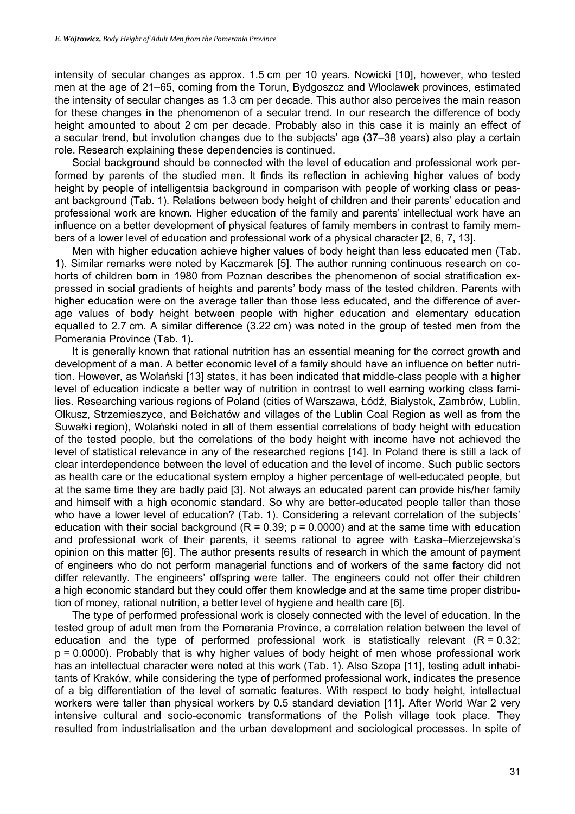intensity of secular changes as approx. 1.5 cm per 10 years. Nowicki [10], however, who tested men at the age of 21–65, coming from the Torun, Bydgoszcz and Wloclawek provinces, estimated the intensity of secular changes as 1.3 cm per decade. This author also perceives the main reason for these changes in the phenomenon of a secular trend. In our research the difference of body height amounted to about 2 cm per decade. Probably also in this case it is mainly an effect of a secular trend, but involution changes due to the subjects' age (37–38 years) also play a certain role. Research explaining these dependencies is continued.

Social background should be connected with the level of education and professional work performed by parents of the studied men. It finds its reflection in achieving higher values of body height by people of intelligentsia background in comparison with people of working class or peasant background (Tab. 1). Relations between body height of children and their parents' education and professional work are known. Higher education of the family and parents' intellectual work have an influence on a better development of physical features of family members in contrast to family members of a lower level of education and professional work of a physical character [2, 6, 7, 13].

Men with higher education achieve higher values of body height than less educated men (Tab. 1). Similar remarks were noted by Kaczmarek [5]. The author running continuous research on cohorts of children born in 1980 from Poznan describes the phenomenon of social stratification expressed in social gradients of heights and parents' body mass of the tested children. Parents with higher education were on the average taller than those less educated, and the difference of average values of body height between people with higher education and elementary education equalled to 2.7 cm. A similar difference (3.22 cm) was noted in the group of tested men from the Pomerania Province (Tab. 1).

It is generally known that rational nutrition has an essential meaning for the correct growth and development of a man. A better economic level of a family should have an influence on better nutrition. However, as Wolański [13] states, it has been indicated that middle-class people with a higher level of education indicate a better way of nutrition in contrast to well earning working class families. Researching various regions of Poland (cities of Warszawa, Łódź, Bialystok, Zambrów, Lublin, Olkusz, Strzemieszyce, and Bełchatów and villages of the Lublin Coal Region as well as from the Suwałki region), Wolański noted in all of them essential correlations of body height with education of the tested people, but the correlations of the body height with income have not achieved the level of statistical relevance in any of the researched regions [14]. In Poland there is still a lack of clear interdependence between the level of education and the level of income. Such public sectors as health care or the educational system employ a higher percentage of well-educated people, but at the same time they are badly paid [3]. Not always an educated parent can provide his/her family and himself with a high economic standard. So why are better-educated people taller than those who have a lower level of education? (Tab. 1). Considering a relevant correlation of the subjects' education with their social background ( $R = 0.39$ ;  $p = 0.0000$ ) and at the same time with education and professional work of their parents, it seems rational to agree with Łaska–Mierzejewska's opinion on this matter [6]. The author presents results of research in which the amount of payment of engineers who do not perform managerial functions and of workers of the same factory did not differ relevantly. The engineers' offspring were taller. The engineers could not offer their children a high economic standard but they could offer them knowledge and at the same time proper distribution of money, rational nutrition, a better level of hygiene and health care [6].

The type of performed professional work is closely connected with the level of education. In the tested group of adult men from the Pomerania Province, a correlation relation between the level of education and the type of performed professional work is statistically relevant  $(R = 0.32;$  $p = 0.0000$ . Probably that is why higher values of body height of men whose professional work has an intellectual character were noted at this work (Tab. 1). Also Szopa [11], testing adult inhabitants of Kraków, while considering the type of performed professional work, indicates the presence of a big differentiation of the level of somatic features. With respect to body height, intellectual workers were taller than physical workers by 0.5 standard deviation [11]. After World War 2 very intensive cultural and socio-economic transformations of the Polish village took place. They resulted from industrialisation and the urban development and sociological processes. In spite of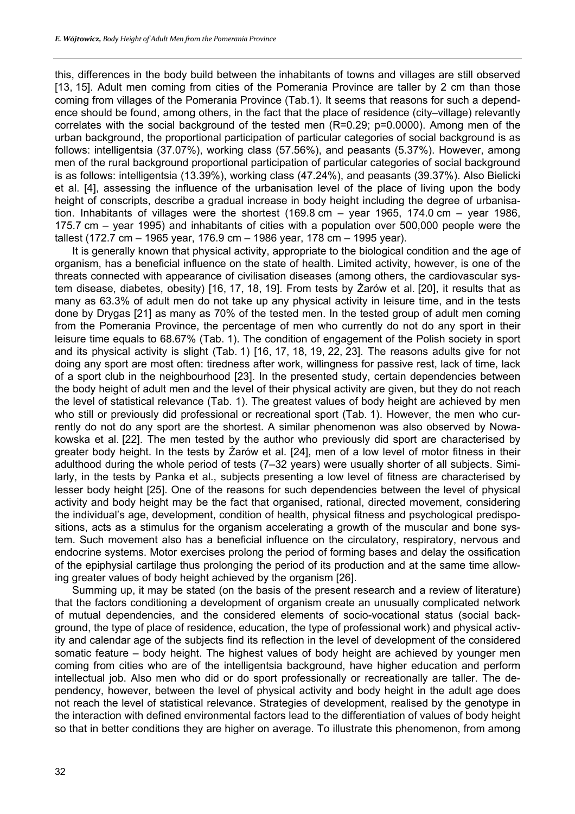this, differences in the body build between the inhabitants of towns and villages are still observed [13, 15]. Adult men coming from cities of the Pomerania Province are taller by 2 cm than those coming from villages of the Pomerania Province (Tab.1). It seems that reasons for such a dependence should be found, among others, in the fact that the place of residence (city–village) relevantly correlates with the social background of the tested men (R=0.29; p=0.0000). Among men of the urban background, the proportional participation of particular categories of social background is as follows: intelligentsia (37.07%), working class (57.56%), and peasants (5.37%). However, among men of the rural background proportional participation of particular categories of social background is as follows: intelligentsia (13.39%), working class (47.24%), and peasants (39.37%). Also Bielicki et al. [4], assessing the influence of the urbanisation level of the place of living upon the body height of conscripts, describe a gradual increase in body height including the degree of urbanisation. Inhabitants of villages were the shortest (169.8 cm – year 1965, 174.0 cm – year 1986, 175.7 cm – year 1995) and inhabitants of cities with a population over 500,000 people were the tallest (172.7 cm – 1965 year, 176.9 cm – 1986 year, 178 cm – 1995 year).

It is generally known that physical activity, appropriate to the biological condition and the age of organism, has a beneficial influence on the state of health. Limited activity, however, is one of the threats connected with appearance of civilisation diseases (among others, the cardiovascular system disease, diabetes, obesity) [16, 17, 18, 19]. From tests by Żarów et al. [20], it results that as many as 63.3% of adult men do not take up any physical activity in leisure time, and in the tests done by Drygas [21] as many as 70% of the tested men. In the tested group of adult men coming from the Pomerania Province, the percentage of men who currently do not do any sport in their leisure time equals to 68.67% (Tab. 1). The condition of engagement of the Polish society in sport and its physical activity is slight (Tab. 1) [16, 17, 18, 19, 22, 23]. The reasons adults give for not doing any sport are most often: tiredness after work, willingness for passive rest, lack of time, lack of a sport club in the neighbourhood [23]. In the presented study, certain dependencies between the body height of adult men and the level of their physical activity are given, but they do not reach the level of statistical relevance (Tab. 1). The greatest values of body height are achieved by men who still or previously did professional or recreational sport (Tab. 1). However, the men who currently do not do any sport are the shortest. A similar phenomenon was also observed by Nowakowska et al. [22]. The men tested by the author who previously did sport are characterised by greater body height. In the tests by Żarów et al. [24], men of a low level of motor fitness in their adulthood during the whole period of tests (7–32 years) were usually shorter of all subjects. Similarly, in the tests by Panka et al., subjects presenting a low level of fitness are characterised by lesser body height [25]. One of the reasons for such dependencies between the level of physical activity and body height may be the fact that organised, rational, directed movement, considering the individual's age, development, condition of health, physical fitness and psychological predispositions, acts as a stimulus for the organism accelerating a growth of the muscular and bone system. Such movement also has a beneficial influence on the circulatory, respiratory, nervous and endocrine systems. Motor exercises prolong the period of forming bases and delay the ossification of the epiphysial cartilage thus prolonging the period of its production and at the same time allowing greater values of body height achieved by the organism [26].

Summing up, it may be stated (on the basis of the present research and a review of literature) that the factors conditioning a development of organism create an unusually complicated network of mutual dependencies, and the considered elements of socio-vocational status (social background, the type of place of residence, education, the type of professional work) and physical activity and calendar age of the subjects find its reflection in the level of development of the considered somatic feature – body height. The highest values of body height are achieved by younger men coming from cities who are of the intelligentsia background, have higher education and perform intellectual job. Also men who did or do sport professionally or recreationally are taller. The dependency, however, between the level of physical activity and body height in the adult age does not reach the level of statistical relevance. Strategies of development, realised by the genotype in the interaction with defined environmental factors lead to the differentiation of values of body height so that in better conditions they are higher on average. To illustrate this phenomenon, from among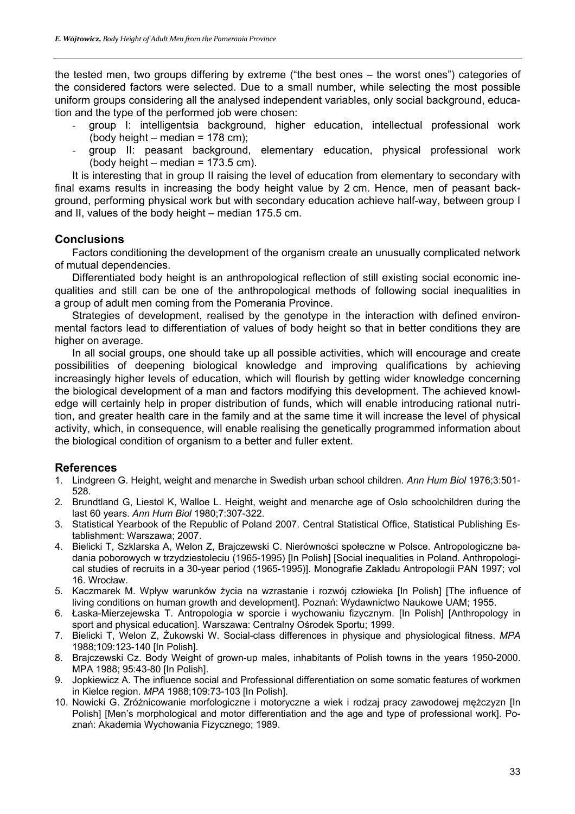the tested men, two groups differing by extreme ("the best ones – the worst ones") categories of the considered factors were selected. Due to a small number, while selecting the most possible uniform groups considering all the analysed independent variables, only social background, education and the type of the performed job were chosen:

- group I: intelligentsia background, higher education, intellectual professional work (body height – median =  $178$  cm);
- group II: peasant background, elementary education, physical professional work (body height – median =  $173.5$  cm).

It is interesting that in group II raising the level of education from elementary to secondary with final exams results in increasing the body height value by 2 cm. Hence, men of peasant background, performing physical work but with secondary education achieve half-way, between group I and II, values of the body height – median 175.5 cm.

#### **Conclusions**

Factors conditioning the development of the organism create an unusually complicated network of mutual dependencies.

Differentiated body height is an anthropological reflection of still existing social economic inequalities and still can be one of the anthropological methods of following social inequalities in a group of adult men coming from the Pomerania Province.

Strategies of development, realised by the genotype in the interaction with defined environmental factors lead to differentiation of values of body height so that in better conditions they are higher on average.

In all social groups, one should take up all possible activities, which will encourage and create possibilities of deepening biological knowledge and improving qualifications by achieving increasingly higher levels of education, which will flourish by getting wider knowledge concerning the biological development of a man and factors modifying this development. The achieved knowledge will certainly help in proper distribution of funds, which will enable introducing rational nutrition, and greater health care in the family and at the same time it will increase the level of physical activity, which, in consequence, will enable realising the genetically programmed information about the biological condition of organism to a better and fuller extent.

### **References**

- 1. Lindgreen G. Height, weight and menarche in Swedish urban school children. *Ann Hum Biol* 1976;3:501- 528.
- 2. Brundtland G, Liestol K, Walloe L. Height, weight and menarche age of Oslo schoolchildren during the last 60 years. *Ann Hum Biol* 1980;7:307-322.
- 3. Statistical Yearbook of the Republic of Poland 2007. Central Statistical Office, Statistical Publishing Establishment: Warszawa; 2007.
- 4. Bielicki T, Szklarska A, Welon Z, Brajczewski C. Nierówności społeczne w Polsce. Antropologiczne badania poborowych w trzydziestoleciu (1965-1995) [In Polish] [Social inequalities in Poland. Anthropological studies of recruits in a 30-year period (1965-1995)]. Monografie Zakładu Antropologii PAN 1997; vol 16. Wrocław.
- 5. Kaczmarek M. Wpływ warunków życia na wzrastanie i rozwój człowieka [In Polish] [The influence of living conditions on human growth and development]. Poznań: Wydawnictwo Naukowe UAM; 1955.
- 6. Łaska-Mierzejewska T. Antropologia w sporcie i wychowaniu fizycznym. [In Polish] [Anthropology in sport and physical education]. Warszawa: Centralny Ośrodek Sportu; 1999.
- 7. Bielicki T, Welon Z, Żukowski W. Social-class differences in physique and physiological fitness. *MPA* 1988;109:123-140 [In Polish].
- 8. Brajczewski Cz. Body Weight of grown-up males, inhabitants of Polish towns in the years 1950-2000. MPA 1988; 95:43-80 [In Polish].
- 9. Jopkiewicz A. The influence social and Professional differentiation on some somatic features of workmen in Kielce region. *MPA* 1988;109:73-103 [In Polish].
- 10. Nowicki G. Zróżnicowanie morfologiczne i motoryczne a wiek i rodzaj pracy zawodowej mężczyzn [In Polish] [Men's morphological and motor differentiation and the age and type of professional work]. Poznań: Akademia Wychowania Fizycznego; 1989.